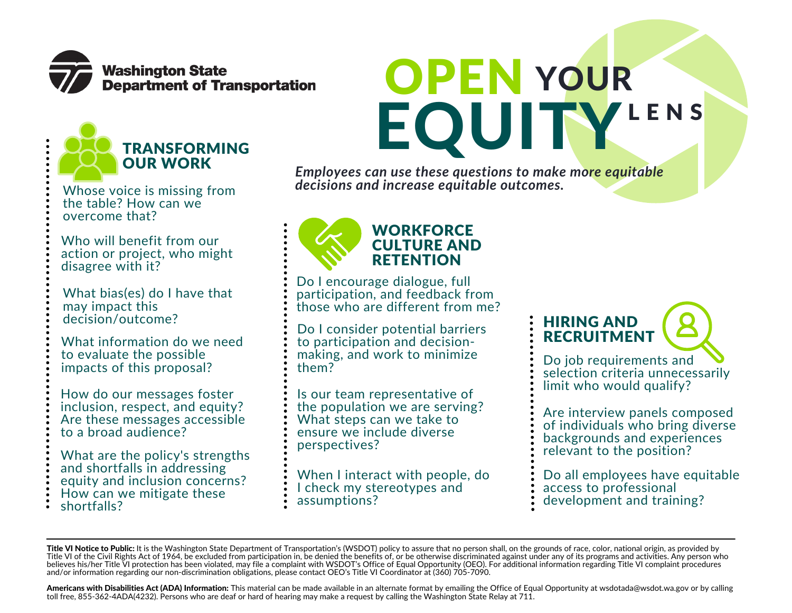

TRANSFORMING

OUR WORK



*Employees can use these questions to make more equitable decisions and increase equitable outcomes.*

Whose voice is missing from the table? How can we overcome that?

Who will benefit from our action or project, who might disagree with it?

What bias(es) do I have that may impact this decision/outcome?

What information do we need to evaluate the possible impacts of this proposal?

How do our messages foster inclusion, respect, and equity? Are these messages accessible to a broad audience?

What are the policy's strengths and shortfalls in addressing equity and inclusion concerns? How can we mitigate these shortfalls?



Do I encourage dialogue, full participation, and feedback from those who are different from me?

Do I consider potential barriers to participation and decisionmaking, and work to minimize them?

Is our team representative of the population we are serving? What steps can we take to ensure we include diverse perspectives?

When I interact with people, do I check my stereotypes and assumptions?

## HIRING AND **RECRUITMENT**

Do job requirements and selection criteria unnecessarily limit who would qualify?

Are interview panels composed of individuals who bring diverse backgrounds and experiences relevant to the position?

Do all employees have equitable access to professional development and training?

Americans with Disabilities Act (ADA) Information: This material can be made available in an alternate format by emailing the Office of Equal Opportunity at wsdotada@wsdot.wa.gov or by calling toll free, 855-362-4ADA(4232). Persons who are deaf or hard of hearing may make a request by calling the Washington State Relay at 711.

Title VI Notice to Public: It is the Washington State Department of Transportation's (WSDOT) policy to assure that no person shall, on the grounds of race, color, national origin, as provided by Title VI of the Civil Rights Act of 1964, be excluded from participation in, be denied the benefits of, or be otherwise discriminated against under any of its programs and activities. Any person who believes his/her Title VI protection has been violated, may file a complaint with WSDOT's Office of Equal Opportunity (OEO). For additional information regarding Title VI complaint procedures and/or information regarding our non-discrimination obligations, please contact OEO's Title VI Coordinator at (360) 705-7090.